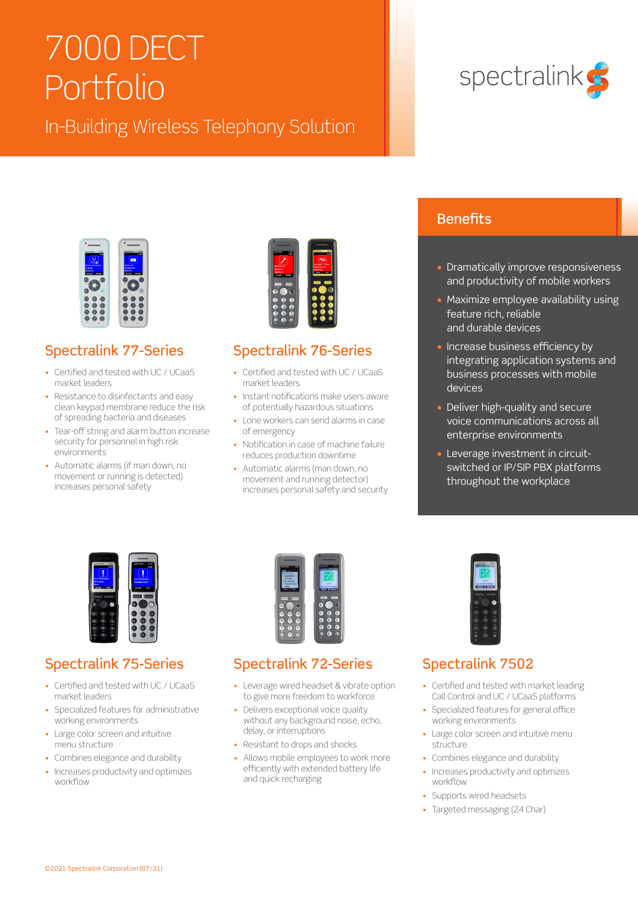# 7000 DECT Portfolio

## In-Building Wireless Telephony Solution



## Spectralink 77-Series

- Certified and tested with UC / UCaaS market leaders
- Resistance to disinfectants and easy clean keypad membrane reduce the risk of spreading bacteria and diseases
- Tear-off string and alarm button increase security for personnel in high risk environments
- Automatic alarms (if man down, no movement or running is detected) increases personal safety



## Spectralink 76-Series

- Certified and tested with UC / UCaaS market leaders
- Instant notifications make users aware of potentially hazardous situations
- Lone workers can send alarms in case of emergency
- Notification in case of machine failure reduces production downtime
- Automatic alarms (man down, no movement and running detector) increases personal safety and security

# spectralink G

## **Benefits**

- Dramatically improve responsiveness and productivity of mobile workers
- Maximize employee availability using feature rich, reliable and durable devices
- Increase business efficiency by integrating application systems and business processes with mobile devices
- Deliver high-quality and secure voice communications across all enterprise environments
- Leverage investment in circuitswitched or IP/SIP PBX platforms throughout the workplace



## Spectralink 75-Series

- Certified and tested with UC / UCaaS market leaders
- Specialized features for administrative working environments
- Large color screen and intuitive menu structure
- Combines elegance and durability
- Increases productivity and optimizes workflow



## Spectralink 72-Series

- Leverage wired headset & vibrate option to give more freedom to workforce
- Delivers exceptional voice quality without any background noise, echo, delay, or interruptions
- Resistant to drops and shocks
- Allows mobile employees to work more efficiently with extended battery life and quick recharging



## Spectralink 7502

- Certified and tested with market leading Call Control and UC / UCaaS platforms
- Specialized features for general office working environments
- Large color screen and intuitive menu structure
- Combines elegance and durability
- Increases productivity and optimizes workflow
- Supports wired headsets
- Targeted messaging (24 Char)